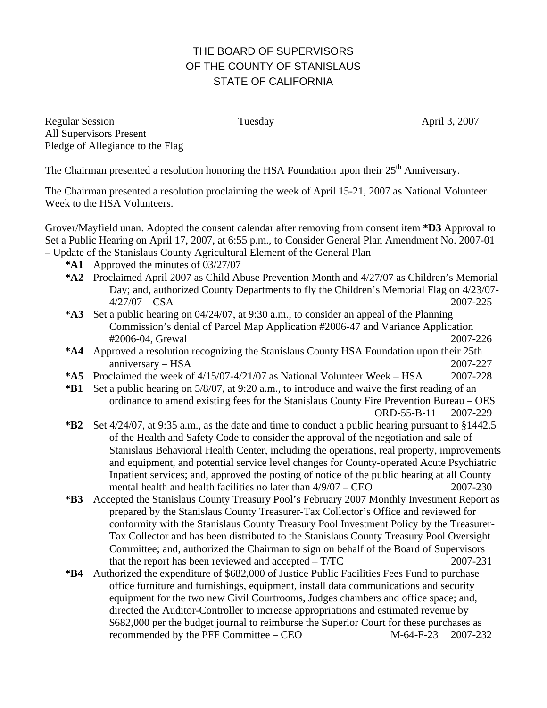## THE BOARD OF SUPERVISORS OF THE COUNTY OF STANISLAUS STATE OF CALIFORNIA

Regular Session Tuesday April 3, 2007 All Supervisors Present Pledge of Allegiance to the Flag

The Chairman presented a resolution honoring the HSA Foundation upon their 25<sup>th</sup> Anniversary.

The Chairman presented a resolution proclaiming the week of April 15-21, 2007 as National Volunteer Week to the HSA Volunteers.

Grover/Mayfield unan. Adopted the consent calendar after removing from consent item **\*D3** Approval to Set a Public Hearing on April 17, 2007, at 6:55 p.m., to Consider General Plan Amendment No. 2007-01 – Update of the Stanislaus County Agricultural Element of the General Plan

- **\*A1** Approved the minutes of 03/27/07
- **\*A2** Proclaimed April 2007 as Child Abuse Prevention Month and 4/27/07 as Children's Memorial Day; and, authorized County Departments to fly the Children's Memorial Flag on 4/23/07- 4/27/07 – CSA 2007-225
- **\*A3** Set a public hearing on 04/24/07, at 9:30 a.m., to consider an appeal of the Planning Commission's denial of Parcel Map Application #2006-47 and Variance Application #2006-04, Grewal 2007-226
- **\*A4** Approved a resolution recognizing the Stanislaus County HSA Foundation upon their 25th anniversary – HSA 2007-227
- **\*A5** Proclaimed the week of 4/15/07-4/21/07 as National Volunteer Week HSA 2007-228
- **\*B1** Set a public hearing on 5/8/07, at 9:20 a.m., to introduce and waive the first reading of an ordinance to amend existing fees for the Stanislaus County Fire Prevention Bureau – OES ORD-55-B-11 2007-229
- **\*B2** Set 4/24/07, at 9:35 a.m., as the date and time to conduct a public hearing pursuant to §1442.5 of the Health and Safety Code to consider the approval of the negotiation and sale of Stanislaus Behavioral Health Center, including the operations, real property, improvements and equipment, and potential service level changes for County-operated Acute Psychiatric Inpatient services; and, approved the posting of notice of the public hearing at all County mental health and health facilities no later than  $4/9/07 - \text{CEO}$  2007-230
- **\*B3** Accepted the Stanislaus County Treasury Pool's February 2007 Monthly Investment Report as prepared by the Stanislaus County Treasurer-Tax Collector's Office and reviewed for conformity with the Stanislaus County Treasury Pool Investment Policy by the Treasurer-Tax Collector and has been distributed to the Stanislaus County Treasury Pool Oversight Committee; and, authorized the Chairman to sign on behalf of the Board of Supervisors that the report has been reviewed and accepted – T/TC 2007-231
- **\*B4** Authorized the expenditure of \$682,000 of Justice Public Facilities Fees Fund to purchase office furniture and furnishings, equipment, install data communications and security equipment for the two new Civil Courtrooms, Judges chambers and office space; and, directed the Auditor-Controller to increase appropriations and estimated revenue by \$682,000 per the budget journal to reimburse the Superior Court for these purchases as recommended by the PFF Committee – CEO M-64-F-23 2007-232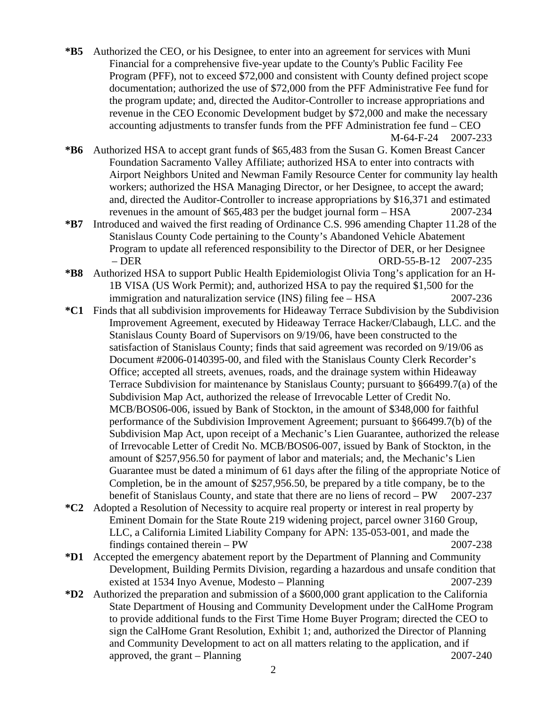- **\*B5** Authorized the CEO, or his Designee, to enter into an agreement for services with Muni Financial for a comprehensive five-year update to the County's Public Facility Fee Program (PFF), not to exceed \$72,000 and consistent with County defined project scope documentation; authorized the use of \$72,000 from the PFF Administrative Fee fund for the program update; and, directed the Auditor-Controller to increase appropriations and revenue in the CEO Economic Development budget by \$72,000 and make the necessary accounting adjustments to transfer funds from the PFF Administration fee fund – CEO M-64-F-24 2007-233
- **\*B6** Authorized HSA to accept grant funds of \$65,483 from the Susan G. Komen Breast Cancer Foundation Sacramento Valley Affiliate; authorized HSA to enter into contracts with Airport Neighbors United and Newman Family Resource Center for community lay health workers; authorized the HSA Managing Director, or her Designee, to accept the award; and, directed the Auditor-Controller to increase appropriations by \$16,371 and estimated revenues in the amount of \$65,483 per the budget journal form – HSA 2007-234
- **\*B7** Introduced and waived the first reading of Ordinance C.S. 996 amending Chapter 11.28 of the Stanislaus County Code pertaining to the County's Abandoned Vehicle Abatement Program to update all referenced responsibility to the Director of DER, or her Designee – DER ORD-55-B-12 2007-235
- **\*B8** Authorized HSA to support Public Health Epidemiologist Olivia Tong's application for an H-1B VISA (US Work Permit); and, authorized HSA to pay the required \$1,500 for the immigration and naturalization service (INS) filing fee – HSA 2007-236
- **\*C1** Finds that all subdivision improvements for Hideaway Terrace Subdivision by the Subdivision Improvement Agreement, executed by Hideaway Terrace Hacker/Clabaugh, LLC. and the Stanislaus County Board of Supervisors on 9/19/06, have been constructed to the satisfaction of Stanislaus County; finds that said agreement was recorded on 9/19/06 as Document #2006-0140395-00, and filed with the Stanislaus County Clerk Recorder's Office; accepted all streets, avenues, roads, and the drainage system within Hideaway Terrace Subdivision for maintenance by Stanislaus County; pursuant to §66499.7(a) of the Subdivision Map Act, authorized the release of Irrevocable Letter of Credit No. MCB/BOS06-006, issued by Bank of Stockton, in the amount of \$348,000 for faithful performance of the Subdivision Improvement Agreement; pursuant to §66499.7(b) of the Subdivision Map Act, upon receipt of a Mechanic's Lien Guarantee, authorized the release of Irrevocable Letter of Credit No. MCB/BOS06-007, issued by Bank of Stockton, in the amount of \$257,956.50 for payment of labor and materials; and, the Mechanic's Lien Guarantee must be dated a minimum of 61 days after the filing of the appropriate Notice of Completion, be in the amount of \$257,956.50, be prepared by a title company, be to the benefit of Stanislaus County, and state that there are no liens of record – PW 2007-237
- **\*C2** Adopted a Resolution of Necessity to acquire real property or interest in real property by Eminent Domain for the State Route 219 widening project, parcel owner 3160 Group, LLC, a California Limited Liability Company for APN: 135-053-001, and made the findings contained therein – PW 2007-238
- **\*D1** Accepted the emergency abatement report by the Department of Planning and Community Development, Building Permits Division, regarding a hazardous and unsafe condition that existed at 1534 Inyo Avenue, Modesto – Planning 2007-239
- **\*D2** Authorized the preparation and submission of a \$600,000 grant application to the California State Department of Housing and Community Development under the CalHome Program to provide additional funds to the First Time Home Buyer Program; directed the CEO to sign the CalHome Grant Resolution, Exhibit 1; and, authorized the Director of Planning and Community Development to act on all matters relating to the application, and if approved, the grant – Planning 2007-240